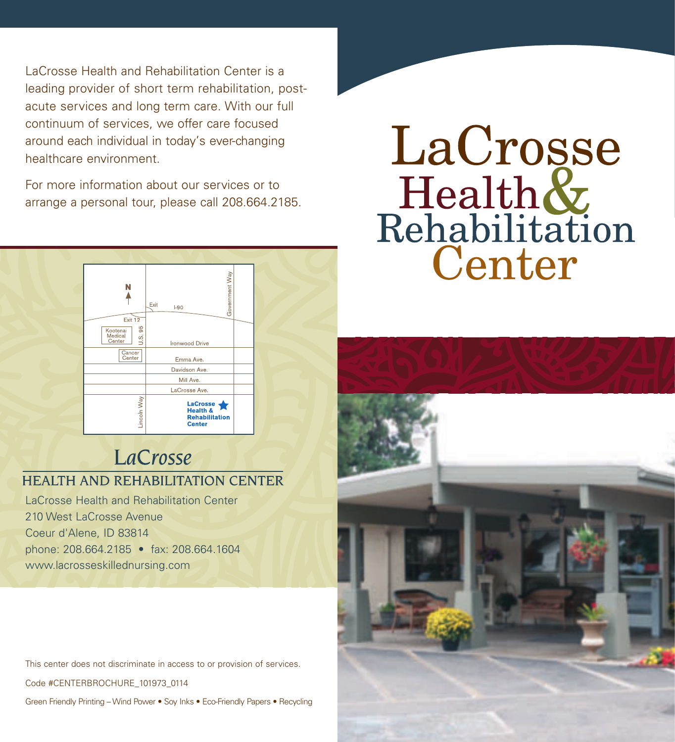LaCrosse Health and Rehabilitation Center is a leading provider of short term rehabilitation, postacute services and long term care. With our full continuum of services, we offer care focused around each individual in today's ever-changing healthcare environment.

For more information about our services or to arrange a personal tour, please call 208.664.2185.



## LaCrosse **HEALTH AND REHABILITATION CENTER**

LaCrosse Health and Rehabilitation Center 210 West LaCrosse Avenue Coeur d'Alene, ID 83814 phone: 208.664.2185 • fax: 208.664.1604 www.lacrosseskillednursing.com

This center does not discriminate in access to or provision of services.

Code #CENTERBROCHURE\_101973\_0114

Green Friendly Printing – Wind Power • Soy Inks • Eco-Friendly Papers • Recycling

# LaCrosse Health & Center